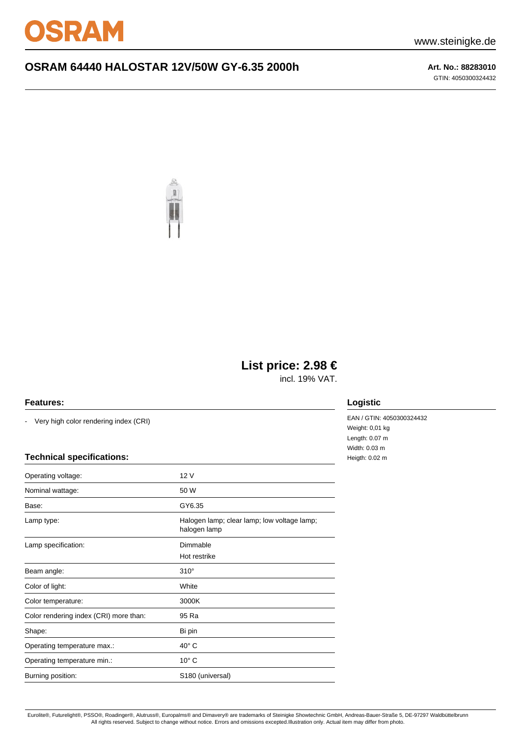

# **OSRAM 64440 HALOSTAR 12V/50W GY-6.35 2000h Art. No.: 88283010**

GTIN: 4050300324432



# **List price: 2.98 €**

incl. 19% VAT.

#### **Features:**

- Very high color rendering index (CRI)

### **Technical specifications:**

| Operating voltage:                     | 12 V                                                        |
|----------------------------------------|-------------------------------------------------------------|
| Nominal wattage:                       | 50 W                                                        |
| Base:                                  | GY6.35                                                      |
| Lamp type:                             | Halogen lamp; clear lamp; low voltage lamp;<br>halogen lamp |
| Lamp specification:                    | Dimmable                                                    |
|                                        | Hot restrike                                                |
| Beam angle:                            | $310^\circ$                                                 |
| Color of light:                        | White                                                       |
| Color temperature:                     | 3000K                                                       |
| Color rendering index (CRI) more than: | 95 Ra                                                       |
| Shape:                                 | Bi pin                                                      |
| Operating temperature max.:            | $40^{\circ}$ C                                              |
| Operating temperature min.:            | $10^{\circ}$ C                                              |
| Burning position:                      | S180 (universal)                                            |
|                                        |                                                             |

## **Logistic**

EAN / GTIN: 4050300324432 Weight: 0,01 kg Length: 0.07 m Width: 0.03 m Heigth: 0.02 m

Eurolite®, Futurelight®, PSSO®, Roadinger®, Alutruss®, Europalms® and Dimavery® are trademarks of Steinigke Showtechnic GmbH, Andreas-Bauer-Straße 5, DE-97297 Waldbüttelbrunn All rights reserved. Subject to change without notice. Errors and omissions excepted.Illustration only. Actual item may differ from photo.